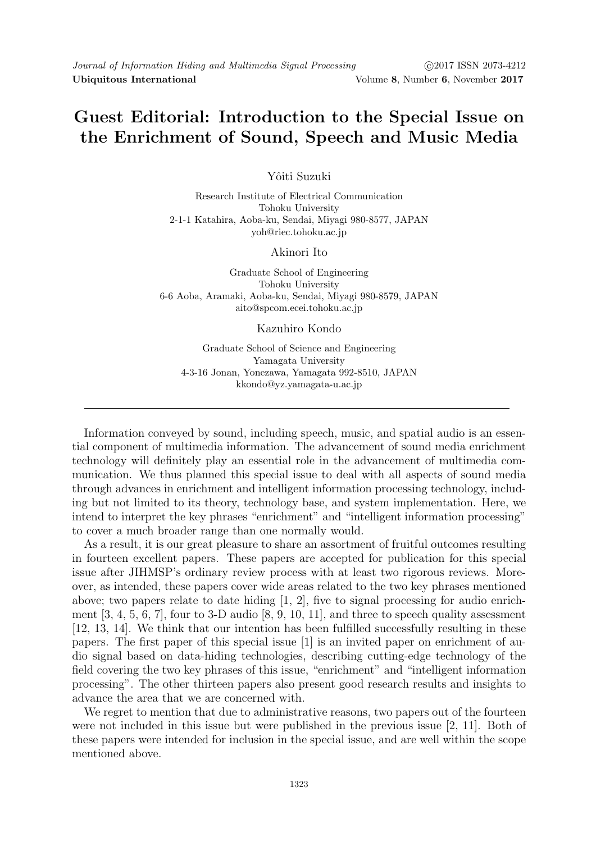## **Guest Editorial: Introduction to the Special Issue on the Enrichment of Sound, Speech and Music Media**

Yôiti Suzuki

Research Institute of Electrical Communication Tohoku University 2-1-1 Katahira, Aoba-ku, Sendai, Miyagi 980-8577, JAPAN yoh@riec.tohoku.ac.jp

## Akinori Ito

Graduate School of Engineering Tohoku University 6-6 Aoba, Aramaki, Aoba-ku, Sendai, Miyagi 980-8579, JAPAN aito@spcom.ecei.tohoku.ac.jp

## Kazuhiro Kondo

Graduate School of Science and Engineering Yamagata University 4-3-16 Jonan, Yonezawa, Yamagata 992-8510, JAPAN kkondo@yz.yamagata-u.ac.jp

Information conveyed by sound, including speech, music, and spatial audio is an essential component of multimedia information. The advancement of sound media enrichment technology will definitely play an essential role in the advancement of multimedia communication. We thus planned this special issue to deal with all aspects of sound media through advances in enrichment and intelligent information processing technology, including but not limited to its theory, technology base, and system implementation. Here, we intend to interpret the key phrases "enrichment" and "intelligent information processing" to cover a much broader range than one normally would.

As a result, it is our great pleasure to share an assortment of fruitful outcomes resulting in fourteen excellent papers. These papers are accepted for publication for this special issue after JIHMSP's ordinary review process with at least two rigorous reviews. Moreover, as intended, these papers cover wide areas related to the two key phrases mentioned above; two papers relate to date hiding [1, 2], five to signal processing for audio enrichment  $[3, 4, 5, 6, 7]$ , four to 3-D audio  $[8, 9, 10, 11]$ , and three to speech quality assessment [12, 13, 14]. We think that our intention has been fulfilled successfully resulting in these papers. The first paper of this special issue [1] is an invited paper on enrichment of audio signal based on data-hiding technologies, describing cutting-edge technology of the field covering the two key phrases of this issue, "enrichment" and "intelligent information processing". The other thirteen papers also present good research results and insights to advance the area that we are concerned with.

We regret to mention that due to administrative reasons, two papers out of the fourteen were not included in this issue but were published in the previous issue [2, 11]. Both of these papers were intended for inclusion in the special issue, and are well within the scope mentioned above.